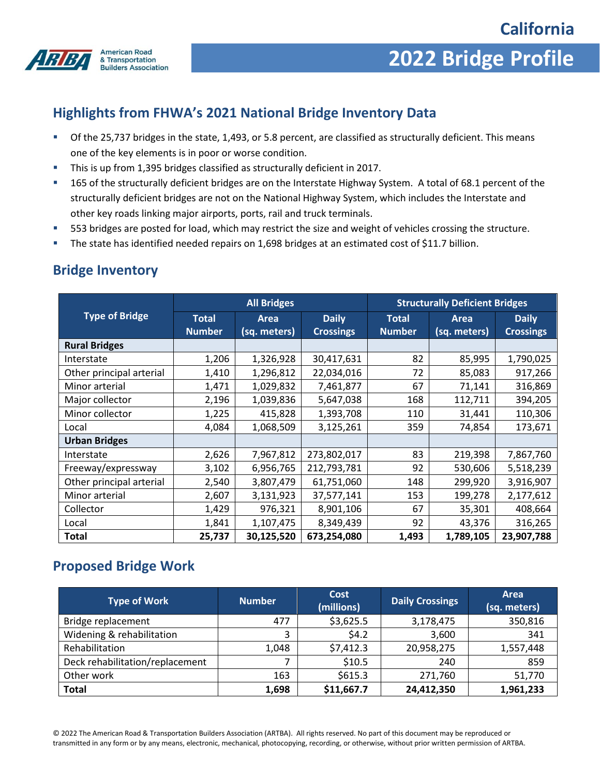

# **2022 Bridge Profile**

## **Highlights from FHWA's 2021 National Bridge Inventory Data**

- Of the 25,737 bridges in the state, 1,493, or 5.8 percent, are classified as structurally deficient. This means one of the key elements is in poor or worse condition.
- This is up from 1,395 bridges classified as structurally deficient in 2017.
- 165 of the structurally deficient bridges are on the Interstate Highway System. A total of 68.1 percent of the structurally deficient bridges are not on the National Highway System, which includes the Interstate and other key roads linking major airports, ports, rail and truck terminals.
- 553 bridges are posted for load, which may restrict the size and weight of vehicles crossing the structure.
- The state has identified needed repairs on 1,698 bridges at an estimated cost of \$11.7 billion.

#### **Bridge Inventory**

|                          | <b>All Bridges</b>            |                      |                                  | <b>Structurally Deficient Bridges</b> |                      |                                  |
|--------------------------|-------------------------------|----------------------|----------------------------------|---------------------------------------|----------------------|----------------------------------|
| <b>Type of Bridge</b>    | <b>Total</b><br><b>Number</b> | Area<br>(sq. meters) | <b>Daily</b><br><b>Crossings</b> | <b>Total</b><br><b>Number</b>         | Area<br>(sq. meters) | <b>Daily</b><br><b>Crossings</b> |
| <b>Rural Bridges</b>     |                               |                      |                                  |                                       |                      |                                  |
| Interstate               | 1,206                         | 1,326,928            | 30,417,631                       | 82                                    | 85,995               | 1,790,025                        |
| Other principal arterial | 1,410                         | 1,296,812            | 22,034,016                       | 72                                    | 85,083               | 917,266                          |
| Minor arterial           | 1,471                         | 1,029,832            | 7,461,877                        | 67                                    | 71,141               | 316,869                          |
| Major collector          | 2,196                         | 1,039,836            | 5,647,038                        | 168                                   | 112,711              | 394,205                          |
| Minor collector          | 1,225                         | 415,828              | 1,393,708                        | 110                                   | 31,441               | 110,306                          |
| Local                    | 4,084                         | 1,068,509            | 3,125,261                        | 359                                   | 74,854               | 173,671                          |
| <b>Urban Bridges</b>     |                               |                      |                                  |                                       |                      |                                  |
| Interstate               | 2,626                         | 7,967,812            | 273,802,017                      | 83                                    | 219,398              | 7,867,760                        |
| Freeway/expressway       | 3,102                         | 6,956,765            | 212,793,781                      | 92                                    | 530,606              | 5,518,239                        |
| Other principal arterial | 2,540                         | 3,807,479            | 61,751,060                       | 148                                   | 299,920              | 3,916,907                        |
| Minor arterial           | 2,607                         | 3,131,923            | 37,577,141                       | 153                                   | 199,278              | 2,177,612                        |
| Collector                | 1,429                         | 976,321              | 8,901,106                        | 67                                    | 35,301               | 408,664                          |
| Local                    | 1,841                         | 1,107,475            | 8,349,439                        | 92                                    | 43,376               | 316,265                          |
| Total                    | 25,737                        | 30,125,520           | 673,254,080                      | 1,493                                 | 1,789,105            | 23,907,788                       |

#### **Proposed Bridge Work**

| <b>Type of Work</b>             | <b>Number</b> | Cost<br>(millions) | <b>Daily Crossings</b> | Area<br>(sq. meters) |
|---------------------------------|---------------|--------------------|------------------------|----------------------|
| Bridge replacement              | 477           | \$3,625.5          | 3,178,475              | 350,816              |
| Widening & rehabilitation       | 3             | \$4.2              | 3,600                  | 341                  |
| Rehabilitation                  | 1,048         | \$7,412.3          | 20,958,275             | 1,557,448            |
| Deck rehabilitation/replacement |               | \$10.5             | 240                    | 859                  |
| Other work                      | 163           | \$615.3            | 271,760                | 51,770               |
| <b>Total</b>                    | 1,698         | \$11,667.7         | 24,412,350             | 1,961,233            |